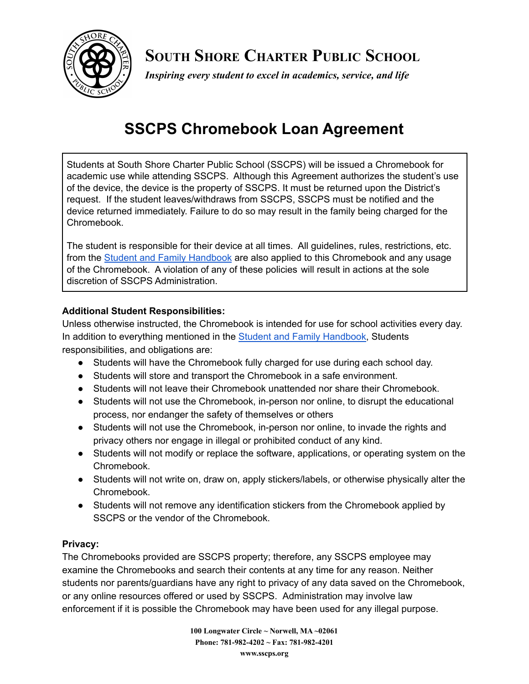

**SOUTH SHORE CHARTER PUBLIC SCHOOL**

*Inspiring every student to excel in academics, service, and life*

# **SSCPS Chromebook Loan Agreement**

Students at South Shore Charter Public School (SSCPS) will be issued a Chromebook for academic use while attending SSCPS. Although this Agreement authorizes the student's use of the device, the device is the property of SSCPS. It must be returned upon the District's request. If the student leaves/withdraws from SSCPS, SSCPS must be notified and the device returned immediately. Failure to do so may result in the family being charged for the Chromebook.

The student is responsible for their device at all times. All guidelines, rules, restrictions, etc. from the Student and Family [Handbook](https://www.sscps.org/apps/pages/index.jsp?uREC_ID=306647&type=d&termREC_ID=&pREC_ID=579530) are also applied to this Chromebook and any usage of the Chromebook. A violation of any of these policies will result in actions at the sole discretion of SSCPS Administration.

### **Additional Student Responsibilities:**

Unless otherwise instructed, the Chromebook is intended for use for school activities every day. In addition to everything mentioned in the Student and Family [Handbook,](https://www.sscps.org/apps/pages/index.jsp?uREC_ID=306647&type=d&termREC_ID=&pREC_ID=579530) Students responsibilities, and obligations are:

- Students will have the Chromebook fully charged for use during each school day.
- Students will store and transport the Chromebook in a safe environment.
- Students will not leave their Chromebook unattended nor share their Chromebook.
- Students will not use the Chromebook, in-person nor online, to disrupt the educational process, nor endanger the safety of themselves or others
- Students will not use the Chromebook, in-person nor online, to invade the rights and privacy others nor engage in illegal or prohibited conduct of any kind.
- Students will not modify or replace the software, applications, or operating system on the Chromebook.
- Students will not write on, draw on, apply stickers/labels, or otherwise physically alter the Chromebook.
- Students will not remove any identification stickers from the Chromebook applied by SSCPS or the vendor of the Chromebook.

#### **Privacy:**

The Chromebooks provided are SSCPS property; therefore, any SSCPS employee may examine the Chromebooks and search their contents at any time for any reason. Neither students nor parents/guardians have any right to privacy of any data saved on the Chromebook, or any online resources offered or used by SSCPS. Administration may involve law enforcement if it is possible the Chromebook may have been used for any illegal purpose.

> **100 Longwater Circle ~ Norwell, MA ~02061 Phone: 781-982-4202 ~ Fax: 781-982-4201 www.sscps.org**